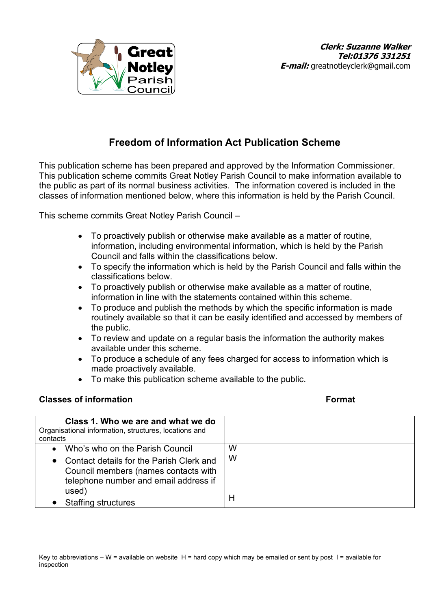

# **Freedom of Information Act Publication Scheme**

This publication scheme has been prepared and approved by the Information Commissioner. This publication scheme commits Great Notley Parish Council to make information available to the public as part of its normal business activities. The information covered is included in the classes of information mentioned below, where this information is held by the Parish Council.

This scheme commits Great Notley Parish Council –

- To proactively publish or otherwise make available as a matter of routine, information, including environmental information, which is held by the Parish Council and falls within the classifications below.
- To specify the information which is held by the Parish Council and falls within the classifications below.
- To proactively publish or otherwise make available as a matter of routine, information in line with the statements contained within this scheme.
- To produce and publish the methods by which the specific information is made routinely available so that it can be easily identified and accessed by members of the public.
- To review and update on a regular basis the information the authority makes available under this scheme.
- To produce a schedule of any fees charged for access to information which is made proactively available.
- To make this publication scheme available to the public.

### **Classes of information Format**

| Class 1. Who we are and what we do<br>Organisational information, structures, locations and<br>contacts                                                                     |        |
|-----------------------------------------------------------------------------------------------------------------------------------------------------------------------------|--------|
| Who's who on the Parish Council<br>$\bullet$<br>• Contact details for the Parish Clerk and<br>Council members (names contacts with<br>telephone number and email address if | W<br>W |
| used)<br><b>Staffing structures</b>                                                                                                                                         | Н      |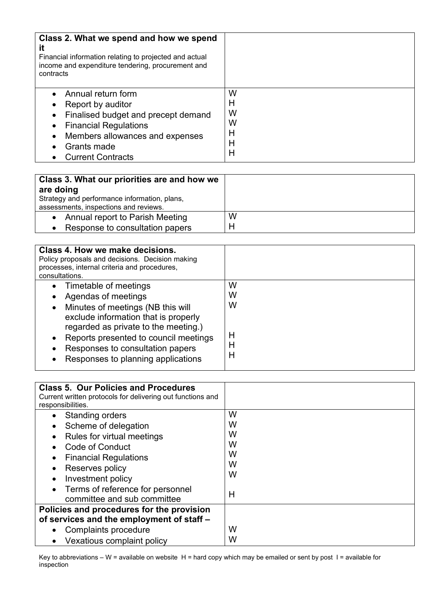| Class 2. What we spend and how we spend<br>it<br>Financial information relating to projected and actual<br>income and expenditure tendering, procurement and<br>contracts                                                                                                  |                                 |
|----------------------------------------------------------------------------------------------------------------------------------------------------------------------------------------------------------------------------------------------------------------------------|---------------------------------|
| Annual return form<br>$\bullet$<br>Report by auditor<br>$\bullet$<br>Finalised budget and precept demand<br>$\bullet$<br><b>Financial Regulations</b><br>$\bullet$<br>Members allowances and expenses<br>$\bullet$<br>Grants made<br>$\bullet$<br><b>Current Contracts</b> | W<br>Н<br>W<br>W<br>Н<br>Н<br>Н |

| Class 3. What our priorities are and how we<br>are doing<br>Strategy and performance information, plans,<br>assessments, inspections and reviews. |   |
|---------------------------------------------------------------------------------------------------------------------------------------------------|---|
| • Annual report to Parish Meeting                                                                                                                 | W |
| Response to consultation papers                                                                                                                   | H |

| Class 4. How we make decisions.<br>Policy proposals and decisions. Decision making<br>processes, internal criteria and procedures,<br>consultations.                                                                                                                                                           |                            |
|----------------------------------------------------------------------------------------------------------------------------------------------------------------------------------------------------------------------------------------------------------------------------------------------------------------|----------------------------|
| Timetable of meetings<br>$\bullet$<br>Agendas of meetings<br>Minutes of meetings (NB this will<br>$\bullet$<br>exclude information that is properly<br>regarded as private to the meeting.)<br>Reports presented to council meetings<br>Responses to consultation papers<br>Responses to planning applications | W<br>w<br>W<br>H<br>Н<br>H |

| <b>Class 5. Our Policies and Procedures</b><br>Current written protocols for delivering out functions and<br>responsibilities.                                                                              |                                 |
|-------------------------------------------------------------------------------------------------------------------------------------------------------------------------------------------------------------|---------------------------------|
| <b>Standing orders</b><br>٠<br>Scheme of delegation<br>٠<br>Rules for virtual meetings<br>Code of Conduct<br><b>Financial Regulations</b><br>$\bullet$<br>Reserves policy<br>Investment policy<br>$\bullet$ | W<br>W<br>W<br>W<br>W<br>W<br>W |
| Terms of reference for personnel<br>committee and sub committee                                                                                                                                             | Н                               |
| Policies and procedures for the provision<br>of services and the employment of staff -                                                                                                                      |                                 |
| Complaints procedure<br>$\bullet$<br>Vexatious complaint policy                                                                                                                                             | W<br>W                          |

Key to abbreviations – W = available on website H = hard copy which may be emailed or sent by post I = available for inspection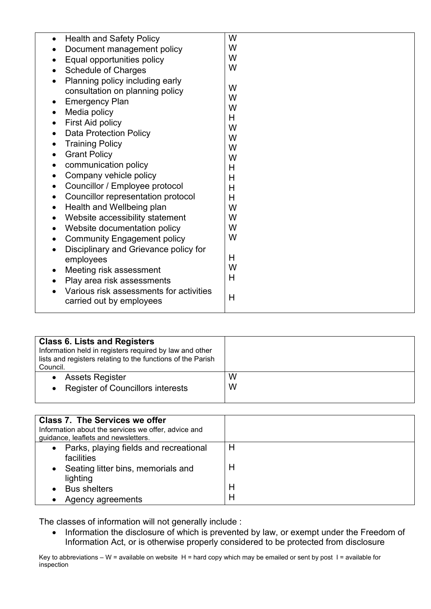| <b>Health and Safety Policy</b><br>$\bullet$<br>Document management policy<br>Equal opportunities policy<br>$\bullet$<br><b>Schedule of Charges</b><br>$\bullet$<br>Planning policy including early<br>consultation on planning policy<br><b>Emergency Plan</b><br>$\bullet$<br>Media policy<br>$\bullet$<br>First Aid policy<br>$\bullet$<br><b>Data Protection Policy</b><br><b>Training Policy</b><br>$\bullet$<br><b>Grant Policy</b><br>$\bullet$<br>communication policy<br>$\bullet$<br>Company vehicle policy<br>$\bullet$<br>Councillor / Employee protocol<br>Councillor representation protocol<br>$\bullet$<br>Health and Wellbeing plan<br>$\bullet$<br>Website accessibility statement<br>$\bullet$<br>Website documentation policy<br>$\bullet$<br><b>Community Engagement policy</b><br>Disciplinary and Grievance policy for<br>employees<br>Meeting risk assessment<br>$\bullet$ | W<br>W<br>W<br>W<br>W<br>W<br>W<br>H<br>W<br>W<br>W<br>W<br>$\overline{H}$<br>H<br>H<br>H<br>W<br>W<br>W<br>W<br>H<br>W |
|----------------------------------------------------------------------------------------------------------------------------------------------------------------------------------------------------------------------------------------------------------------------------------------------------------------------------------------------------------------------------------------------------------------------------------------------------------------------------------------------------------------------------------------------------------------------------------------------------------------------------------------------------------------------------------------------------------------------------------------------------------------------------------------------------------------------------------------------------------------------------------------------------|-------------------------------------------------------------------------------------------------------------------------|
| Play area risk assessments<br>Various risk assessments for activities<br>carried out by employees                                                                                                                                                                                                                                                                                                                                                                                                                                                                                                                                                                                                                                                                                                                                                                                                  | H<br>H                                                                                                                  |

| <b>Class 6. Lists and Registers</b><br>Information held in registers required by law and other<br>lists and registers relating to the functions of the Parish<br>Council. |        |
|---------------------------------------------------------------------------------------------------------------------------------------------------------------------------|--------|
| <b>Assets Register</b><br><b>Register of Councillors interests</b>                                                                                                        | W<br>W |
|                                                                                                                                                                           |        |

| <b>Class 7. The Services we offer</b><br>Information about the services we offer, advice and<br>guidance, leaflets and newsletters. |        |
|-------------------------------------------------------------------------------------------------------------------------------------|--------|
| Parks, playing fields and recreational<br>$\bullet$<br>facilities<br>Seating litter bins, memorials and<br>$\bullet$<br>lighting    | H<br>Н |
| <b>Bus shelters</b><br>Agency agreements                                                                                            | H<br>Н |

The classes of information will not generally include :

• Information the disclosure of which is prevented by law, or exempt under the Freedom of Information Act, or is otherwise properly considered to be protected from disclosure

Key to abbreviations – W = available on website  $H$  = hard copy which may be emailed or sent by post  $I$  = available for inspection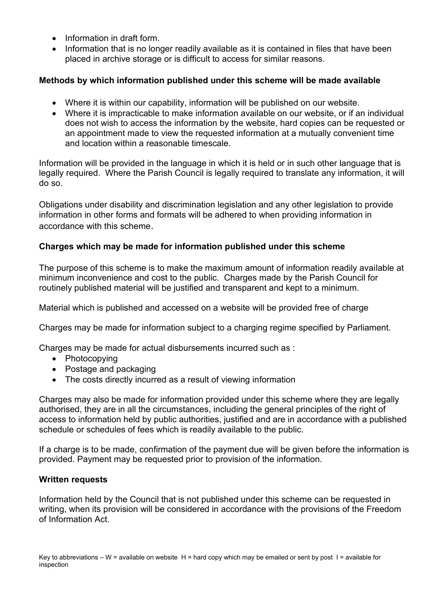- Information in draft form.
- Information that is no longer readily available as it is contained in files that have been placed in archive storage or is difficult to access for similar reasons.

## **Methods by which information published under this scheme will be made available**

- Where it is within our capability, information will be published on our website.
- Where it is impracticable to make information available on our website, or if an individual does not wish to access the information by the website, hard copies can be requested or an appointment made to view the requested information at a mutually convenient time and location within a reasonable timescale.

Information will be provided in the language in which it is held or in such other language that is legally required. Where the Parish Council is legally required to translate any information, it will do so.

Obligations under disability and discrimination legislation and any other legislation to provide information in other forms and formats will be adhered to when providing information in accordance with this scheme.

### **Charges which may be made for information published under this scheme**

The purpose of this scheme is to make the maximum amount of information readily available at minimum inconvenience and cost to the public. Charges made by the Parish Council for routinely published material will be justified and transparent and kept to a minimum.

Material which is published and accessed on a website will be provided free of charge

Charges may be made for information subject to a charging regime specified by Parliament.

Charges may be made for actual disbursements incurred such as :

- Photocopying
- Postage and packaging
- The costs directly incurred as a result of viewing information

Charges may also be made for information provided under this scheme where they are legally authorised, they are in all the circumstances, including the general principles of the right of access to information held by public authorities, justified and are in accordance with a published schedule or schedules of fees which is readily available to the public.

If a charge is to be made, confirmation of the payment due will be given before the information is provided. Payment may be requested prior to provision of the information.

### **Written requests**

Information held by the Council that is not published under this scheme can be requested in writing, when its provision will be considered in accordance with the provisions of the Freedom of Information Act.